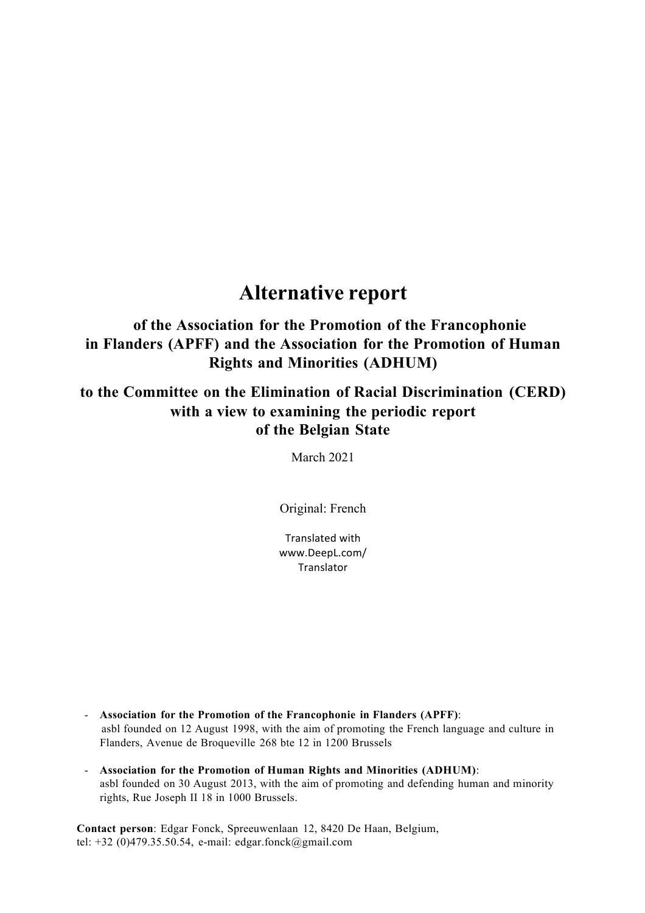# **Alternative report**

## **of the Association for the Promotion of the Francophonie in Flanders (APFF) and the Association for the Promotion of Human Rights and Minorities (ADHUM)**

## **to the Committee on the Elimination of Racial Discrimination (CERD) with a view to examining the periodic report of the Belgian State**

March 2021

Original: French

Translated with www.DeepL.com/ Translator

- **Association for the Promotion of the Francophonie in Flanders (APFF)**: asbl founded on 12 August 1998, with the aim of promoting the French language and culture in Flanders, Avenue de Broqueville 268 bte 12 in 1200 Brussels
- **Association for the Promotion of Human Rights and Minorities (ADHUM)**: asbl founded on 30 August 2013, with the aim of promoting and defending human and minority rights, Rue Joseph II 18 in 1000 Brussels.

**Contact person**: Edgar Fonck, Spreeuwenlaan 12, 8420 De Haan, Belgium, tel: +32 (0)479.35.50.54, e-mail: edgar.fonck@gmail.com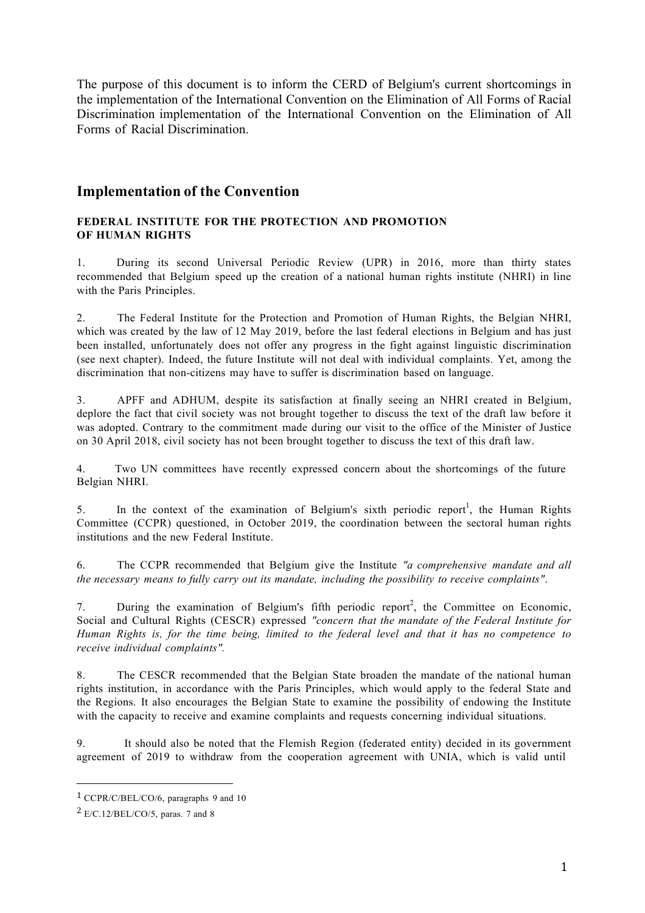The purpose of this document is to inform the CERD of Belgium's current shortcomings in the implementation of the International Convention on the Elimination of All Forms of Racial Discrimination implementation of the International Convention on the Elimination of All Forms of Racial Discrimination.

## **Implementation of the Convention**

### **FEDERAL INSTITUTE FOR THE PROTECTION AND PROMOTION OF HUMAN RIGHTS**

1. During its second Universal Periodic Review (UPR) in 2016, more than thirty states recommended that Belgium speed up the creation of a national human rights institute (NHRI) in line with the Paris Principles.

2. The Federal Institute for the Protection and Promotion of Human Rights, the Belgian NHRI, which was created by the law of 12 May 2019, before the last federal elections in Belgium and has just been installed, unfortunately does not offer any progress in the fight against linguistic discrimination (see next chapter). Indeed, the future Institute will not deal with individual complaints. Yet, among the discrimination that non-citizens may have to suffer is discrimination based on language.

3. APFF and ADHUM, despite its satisfaction at finally seeing an NHRI created in Belgium, deplore the fact that civil society was not brought together to discuss the text of the draft law before it was adopted. Contrary to the commitment made during our visit to the office of the Minister of Justice on 30 April 2018, civil society has not been brought together to discuss the text of this draft law.

4. Two UN committees have recently expressed concern about the shortcomings of the future Belgian NHRI.

5. In the context of the examination of Belgium's sixth periodic report<sup>1</sup>, the Human Rights Committee (CCPR) questioned, in October 2019, the coordination between the sectoral human rights institutions and the new Federal Institute.

6. The CCPR recommended that Belgium give the Institute *"a comprehensive mandate and all the necessary means to fully carry out its mandate, including the possibility to receive complaints"*.

7. During the examination of Belgium's fifth periodic report<sup>2</sup>, the Committee on Economic, Social and Cultural Rights (CESCR) expressed *"concern that the mandate of the Federal Institute for*  Human Rights is, for the time being, limited to the federal level and that it has no competence to *receive individual complaints".*

8. The CESCR recommended that the Belgian State broaden the mandate of the national human rights institution, in accordance with the Paris Principles, which would apply to the federal State and the Regions. It also encourages the Belgian State to examine the possibility of endowing the Institute with the capacity to receive and examine complaints and requests concerning individual situations.

9. It should also be noted that the Flemish Region (federated entity) decided in its government agreement of 2019 to withdraw from the cooperation agreement with UNIA, which is valid until

<sup>1</sup> CCPR/C/BEL/CO/6, paragraphs 9 and 10

 $2$  E/C.12/BEL/CO/5, paras. 7 and 8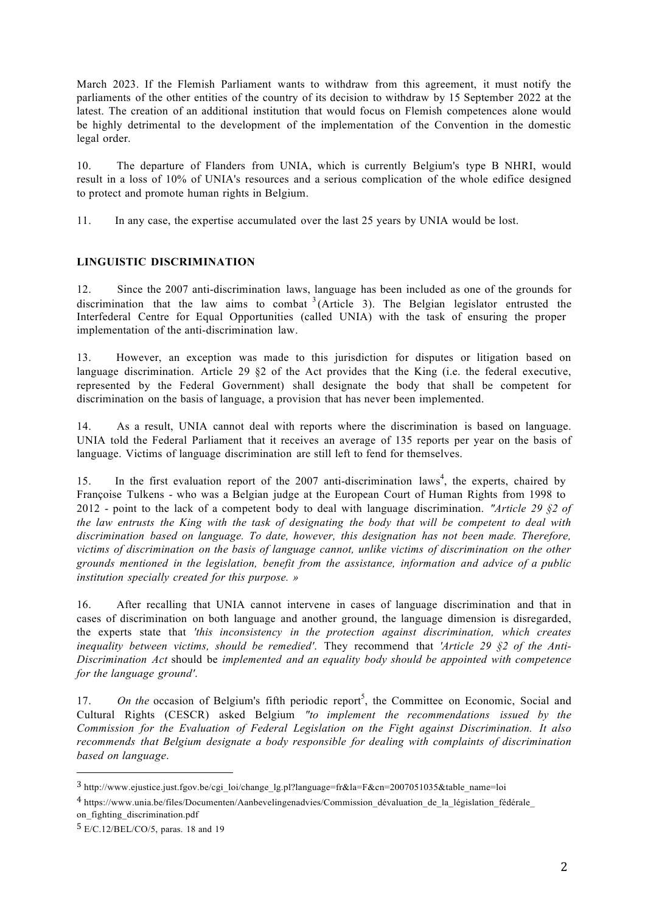March 2023. If the Flemish Parliament wants to withdraw from this agreement, it must notify the parliaments of the other entities of the country of its decision to withdraw by 15 September 2022 at the latest. The creation of an additional institution that would focus on Flemish competences alone would be highly detrimental to the development of the implementation of the Convention in the domestic legal order.

10. The departure of Flanders from UNIA, which is currently Belgium's type B NHRI, would result in a loss of 10% of UNIA's resources and a serious complication of the whole edifice designed to protect and promote human rights in Belgium.

11. In any case, the expertise accumulated over the last 25 years by UNIA would be lost.

### **LINGUISTIC DISCRIMINATION**

12. Since the 2007 anti-discrimination laws, language has been included as one of the grounds for discrimination that the law aims to combat  $3$  (Article 3). The Belgian legislator entrusted the Interfederal Centre for Equal Opportunities (called UNIA) with the task of ensuring the proper implementation of the anti-discrimination law.

13. However, an exception was made to this jurisdiction for disputes or litigation based on language discrimination. Article 29  $\S2$  of the Act provides that the King (i.e. the federal executive, represented by the Federal Government) shall designate the body that shall be competent for discrimination on the basis of language, a provision that has never been implemented.

14. As a result, UNIA cannot deal with reports where the discrimination is based on language. UNIA told the Federal Parliament that it receives an average of 135 reports per year on the basis of language. Victims of language discrimination are still left to fend for themselves.

15. In the first evaluation report of the 2007 anti-discrimination laws<sup>4</sup>, the experts, chaired by Françoise Tulkens - who was a Belgian judge at the European Court of Human Rights from 1998 to 2012 - point to the lack of a competent body to deal with language discrimination. *"Article 29 §2 of the law entrusts the King with the task of designating the body that will be competent to deal with discrimination based on language. To date, however, this designation has not been made. Therefore, victims of discrimination on the basis of language cannot, unlike victims of discrimination on the other grounds mentioned in the legislation, benefit from the assistance, information and advice of a public institution specially created for this purpose. »*

16. After recalling that UNIA cannot intervene in cases of language discrimination and that in cases of discrimination on both language and another ground, the language dimension is disregarded, the experts state that *'this inconsistency in the protection against discrimination, which creates inequality between victims, should be remedied'*. They recommend that *'Article 29 §2 of the Anti-Discrimination Act* should be *implemented and an equality body should be appointed with competence for the language ground'*.

17. On the occasion of Belgium's fifth periodic report<sup>5</sup>, the Committee on Economic, Social and Cultural Rights (CESCR) asked Belgium *"to implement the recommendations issued by the Commission for the Evaluation of Federal Legislation on the Fight against Discrimination. It also recommends that Belgium designate a body responsible for dealing with complaints of discrimination based on language*.

<sup>3</sup> http://www.ejustice.just.fgov.be/cgi\_loi/change\_lg.pl?language=fr&la=F&cn=2007051035&table\_name=loi

<sup>4</sup> https://www.unia.be/files/Documenten/Aanbevelingenadvies/Commission\_dévaluation\_de\_la\_législation\_fédérale\_

on\_fighting\_discrimination.pdf

<sup>5</sup> E/C.12/BEL/CO/5, paras. 18 and 19